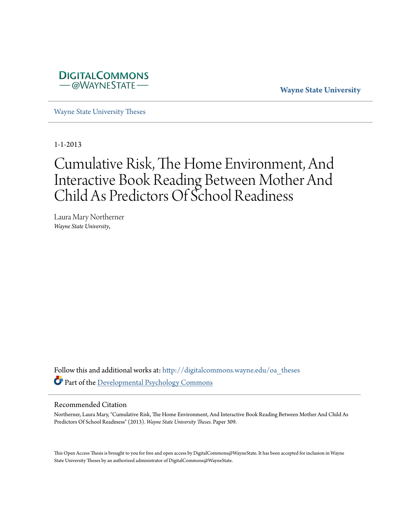

**Wayne State University**

[Wayne State University Theses](http://digitalcommons.wayne.edu/oa_theses?utm_source=digitalcommons.wayne.edu%2Foa_theses%2F309&utm_medium=PDF&utm_campaign=PDFCoverPages)

1-1-2013

# Cumulative Risk, The Home Environment, And Interactive Book Reading Between Mother And Child As Predictors Of School Readiness

Laura Mary Northerner *Wayne State University*,

Follow this and additional works at: [http://digitalcommons.wayne.edu/oa\\_theses](http://digitalcommons.wayne.edu/oa_theses?utm_source=digitalcommons.wayne.edu%2Foa_theses%2F309&utm_medium=PDF&utm_campaign=PDFCoverPages) Part of the [Developmental Psychology Commons](http://network.bepress.com/hgg/discipline/410?utm_source=digitalcommons.wayne.edu%2Foa_theses%2F309&utm_medium=PDF&utm_campaign=PDFCoverPages)

#### Recommended Citation

Northerner, Laura Mary, "Cumulative Risk, The Home Environment, And Interactive Book Reading Between Mother And Child As Predictors Of School Readiness" (2013). *Wayne State University Theses.* Paper 309.

This Open Access Thesis is brought to you for free and open access by DigitalCommons@WayneState. It has been accepted for inclusion in Wayne State University Theses by an authorized administrator of DigitalCommons@WayneState.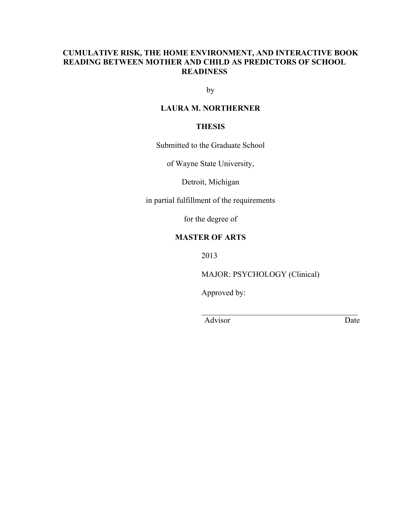### **CUMULATIVE RISK, THE HOME ENVIRONMENT, AND INTERACTIVE BOOK READING BETWEEN MOTHER AND CHILD AS PREDICTORS OF SCHOOL READINESS**

by

### **LAURA M. NORTHERNER**

### **THESIS**

Submitted to the Graduate School

of Wayne State University,

Detroit, Michigan

in partial fulfillment of the requirements

for the degree of

#### **MASTER OF ARTS**

2013

MAJOR: PSYCHOLOGY (Clinical)

 $\mathcal{L}_\text{max}$  and  $\mathcal{L}_\text{max}$  and  $\mathcal{L}_\text{max}$  and  $\mathcal{L}_\text{max}$ 

Approved by:

Advisor Date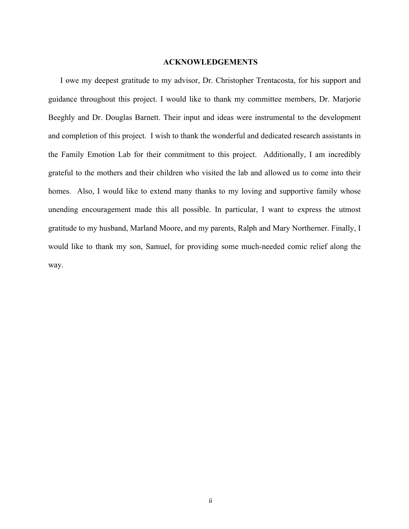#### **ACKNOWLEDGEMENTS**

I owe my deepest gratitude to my advisor, Dr. Christopher Trentacosta, for his support and guidance throughout this project. I would like to thank my committee members, Dr. Marjorie Beeghly and Dr. Douglas Barnett. Their input and ideas were instrumental to the development and completion of this project. I wish to thank the wonderful and dedicated research assistants in the Family Emotion Lab for their commitment to this project. Additionally, I am incredibly grateful to the mothers and their children who visited the lab and allowed us to come into their homes. Also, I would like to extend many thanks to my loving and supportive family whose unending encouragement made this all possible. In particular, I want to express the utmost gratitude to my husband, Marland Moore, and my parents, Ralph and Mary Northerner. Finally, I would like to thank my son, Samuel, for providing some much-needed comic relief along the way.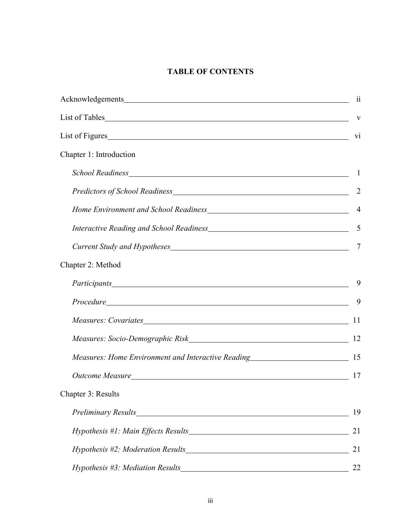# **TABLE OF CONTENTS**

| Acknowledgements and the contract of the contract of the contract of the contract of the contract of the contract of the contract of the contract of the contract of the contract of the contract of the contract of the contr | -11            |
|--------------------------------------------------------------------------------------------------------------------------------------------------------------------------------------------------------------------------------|----------------|
|                                                                                                                                                                                                                                |                |
| List of Figures                                                                                                                                                                                                                | V <sub>1</sub> |
| Chapter 1: Introduction                                                                                                                                                                                                        |                |
|                                                                                                                                                                                                                                |                |
|                                                                                                                                                                                                                                | $\overline{2}$ |
|                                                                                                                                                                                                                                | $\overline{4}$ |
|                                                                                                                                                                                                                                | 5              |
|                                                                                                                                                                                                                                | 7              |
| Chapter 2: Method                                                                                                                                                                                                              |                |
|                                                                                                                                                                                                                                | 9              |
|                                                                                                                                                                                                                                | 9              |
|                                                                                                                                                                                                                                | 11             |
|                                                                                                                                                                                                                                |                |
| Measures: Home Environment and Interactive Reading______________________________                                                                                                                                               | 15             |
|                                                                                                                                                                                                                                | 17             |
| Chapter 3: Results                                                                                                                                                                                                             |                |
|                                                                                                                                                                                                                                | 19             |
|                                                                                                                                                                                                                                | 21             |
|                                                                                                                                                                                                                                | 21             |
|                                                                                                                                                                                                                                | 22             |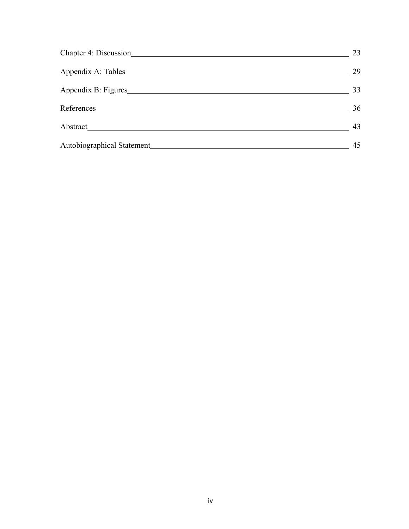| Chapter 4: Discussion      | 23 |
|----------------------------|----|
|                            | 29 |
|                            | 33 |
|                            | 36 |
|                            | 43 |
| Autobiographical Statement | 45 |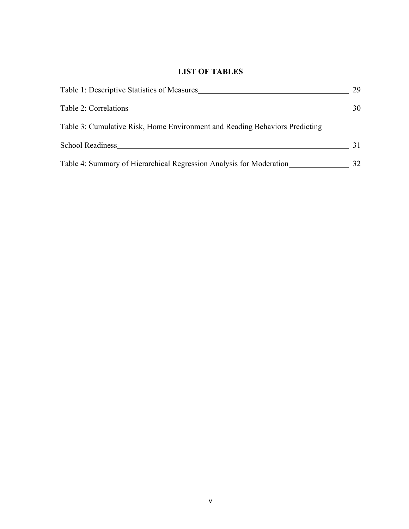# **LIST OF TABLES**

| Table 1: Descriptive Statistics of Measures                                 | 29 |
|-----------------------------------------------------------------------------|----|
| Table 2: Correlations                                                       | 30 |
| Table 3: Cumulative Risk, Home Environment and Reading Behaviors Predicting |    |
| <b>School Readiness</b>                                                     |    |
| Table 4: Summary of Hierarchical Regression Analysis for Moderation         | 32 |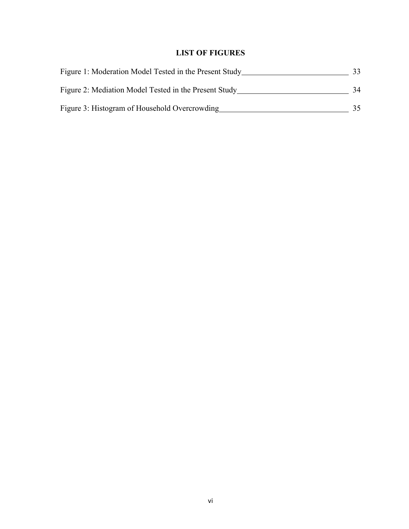## **LIST OF FIGURES**

| Figure 1: Moderation Model Tested in the Present Study |    |
|--------------------------------------------------------|----|
| Figure 2: Mediation Model Tested in the Present Study  | 34 |
| Figure 3: Histogram of Household Overcrowding          | 35 |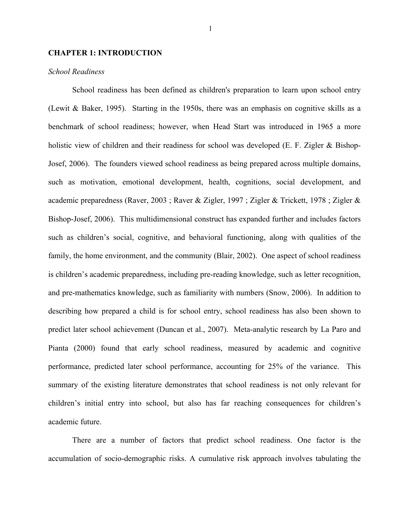#### **CHAPTER 1: INTRODUCTION**

#### *School Readiness*

School readiness has been defined as children's preparation to learn upon school entry (Lewit & Baker, 1995). Starting in the 1950s, there was an emphasis on cognitive skills as a benchmark of school readiness; however, when Head Start was introduced in 1965 a more holistic view of children and their readiness for school was developed (E. F. Zigler & Bishop-Josef, 2006). The founders viewed school readiness as being prepared across multiple domains, such as motivation, emotional development, health, cognitions, social development, and academic preparedness (Raver, 2003 ; Raver & Zigler, 1997 ; Zigler & Trickett, 1978 ; Zigler & Bishop-Josef, 2006). This multidimensional construct has expanded further and includes factors such as children's social, cognitive, and behavioral functioning, along with qualities of the family, the home environment, and the community (Blair, 2002). One aspect of school readiness is children's academic preparedness, including pre-reading knowledge, such as letter recognition, and pre-mathematics knowledge, such as familiarity with numbers (Snow, 2006). In addition to describing how prepared a child is for school entry, school readiness has also been shown to predict later school achievement (Duncan et al., 2007). Meta-analytic research by La Paro and Pianta (2000) found that early school readiness, measured by academic and cognitive performance, predicted later school performance, accounting for 25% of the variance. This summary of the existing literature demonstrates that school readiness is not only relevant for children's initial entry into school, but also has far reaching consequences for children's academic future.

There are a number of factors that predict school readiness. One factor is the accumulation of socio-demographic risks. A cumulative risk approach involves tabulating the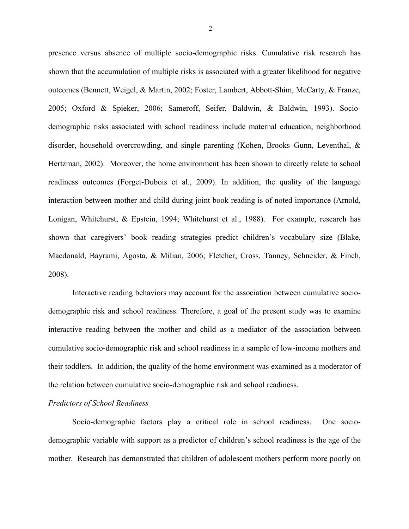presence versus absence of multiple socio-demographic risks. Cumulative risk research has shown that the accumulation of multiple risks is associated with a greater likelihood for negative outcomes (Bennett, Weigel, & Martin, 2002; Foster, Lambert, Abbott-Shim, McCarty, & Franze, 2005; Oxford & Spieker, 2006; Sameroff, Seifer, Baldwin, & Baldwin, 1993). Sociodemographic risks associated with school readiness include maternal education, neighborhood disorder, household overcrowding, and single parenting (Kohen, Brooks–Gunn, Leventhal, & Hertzman, 2002). Moreover, the home environment has been shown to directly relate to school readiness outcomes (Forget-Dubois et al., 2009). In addition, the quality of the language interaction between mother and child during joint book reading is of noted importance (Arnold, Lonigan, Whitehurst, & Epstein, 1994; Whitehurst et al., 1988). For example, research has shown that caregivers' book reading strategies predict children's vocabulary size (Blake, Macdonald, Bayrami, Agosta, & Milian, 2006; Fletcher, Cross, Tanney, Schneider, & Finch, 2008).

Interactive reading behaviors may account for the association between cumulative sociodemographic risk and school readiness. Therefore, a goal of the present study was to examine interactive reading between the mother and child as a mediator of the association between cumulative socio-demographic risk and school readiness in a sample of low-income mothers and their toddlers. In addition, the quality of the home environment was examined as a moderator of the relation between cumulative socio-demographic risk and school readiness.

#### *Predictors of School Readiness*

Socio-demographic factors play a critical role in school readiness. One sociodemographic variable with support as a predictor of children's school readiness is the age of the mother. Research has demonstrated that children of adolescent mothers perform more poorly on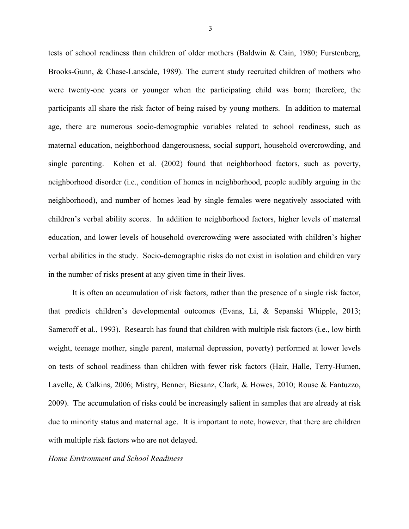tests of school readiness than children of older mothers (Baldwin & Cain, 1980; Furstenberg, Brooks-Gunn, & Chase-Lansdale, 1989). The current study recruited children of mothers who were twenty-one years or younger when the participating child was born; therefore, the participants all share the risk factor of being raised by young mothers. In addition to maternal age, there are numerous socio-demographic variables related to school readiness, such as maternal education, neighborhood dangerousness, social support, household overcrowding, and single parenting. Kohen et al. (2002) found that neighborhood factors, such as poverty, neighborhood disorder (i.e., condition of homes in neighborhood, people audibly arguing in the neighborhood), and number of homes lead by single females were negatively associated with children's verbal ability scores. In addition to neighborhood factors, higher levels of maternal education, and lower levels of household overcrowding were associated with children's higher verbal abilities in the study. Socio-demographic risks do not exist in isolation and children vary in the number of risks present at any given time in their lives.

It is often an accumulation of risk factors, rather than the presence of a single risk factor, that predicts children's developmental outcomes (Evans, Li, & Sepanski Whipple, 2013; Sameroff et al., 1993). Research has found that children with multiple risk factors (i.e., low birth weight, teenage mother, single parent, maternal depression, poverty) performed at lower levels on tests of school readiness than children with fewer risk factors (Hair, Halle, Terry-Humen, Lavelle, & Calkins, 2006; Mistry, Benner, Biesanz, Clark, & Howes, 2010; Rouse & Fantuzzo, 2009). The accumulation of risks could be increasingly salient in samples that are already at risk due to minority status and maternal age. It is important to note, however, that there are children with multiple risk factors who are not delayed.

*Home Environment and School Readiness*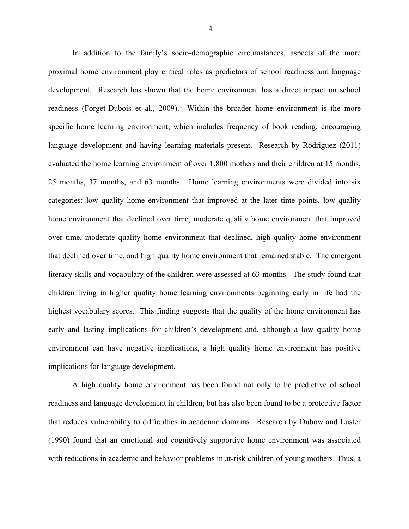In addition to the family's socio-demographic circumstances, aspects of the more proximal home environment play critical roles as predictors of school readiness and language development. Research has shown that the home environment has a direct impact on school readiness (Forget-Dubois et al., 2009). Within the broader home environment is the more specific home learning environment, which includes frequency of book reading, encouraging language development and having learning materials present. Research by Rodriguez (2011) evaluated the home learning environment of over 1,800 mothers and their children at 15 months, 25 months, 37 months, and 63 months. Home learning environments were divided into six categories: low quality home environment that improved at the later time points, low quality home environment that declined over time, moderate quality home environment that improved over time, moderate quality home environment that declined, high quality home environment that declined over time, and high quality home environment that remained stable. The emergent literacy skills and vocabulary of the children were assessed at 63 months. The study found that children living in higher quality home learning environments beginning early in life had the highest vocabulary scores. This finding suggests that the quality of the home environment has early and lasting implications for children's development and, although a low quality home environment can have negative implications, a high quality home environment has positive implications for language development.

A high quality home environment has been found not only to be predictive of school readiness and language development in children, but has also been found to be a protective factor that reduces vulnerability to difficulties in academic domains. Research by Dubow and Luster (1990) found that an emotional and cognitively supportive home environment was associated with reductions in academic and behavior problems in at-risk children of young mothers. Thus, a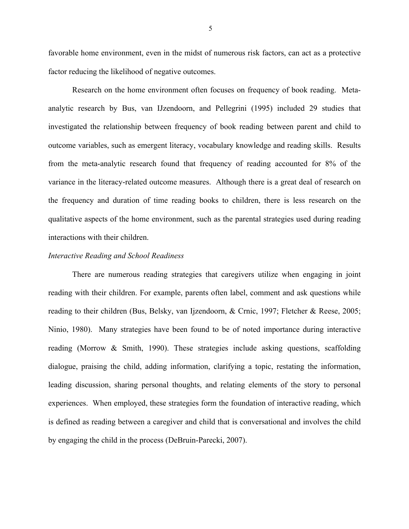favorable home environment, even in the midst of numerous risk factors, can act as a protective factor reducing the likelihood of negative outcomes.

Research on the home environment often focuses on frequency of book reading. Metaanalytic research by Bus, van IJzendoorn, and Pellegrini (1995) included 29 studies that investigated the relationship between frequency of book reading between parent and child to outcome variables, such as emergent literacy, vocabulary knowledge and reading skills. Results from the meta-analytic research found that frequency of reading accounted for 8% of the variance in the literacy-related outcome measures. Although there is a great deal of research on the frequency and duration of time reading books to children, there is less research on the qualitative aspects of the home environment, such as the parental strategies used during reading interactions with their children.

#### *Interactive Reading and School Readiness*

There are numerous reading strategies that caregivers utilize when engaging in joint reading with their children. For example, parents often label, comment and ask questions while reading to their children (Bus, Belsky, van Ijzendoorn, & Crnic, 1997; Fletcher & Reese, 2005; Ninio, 1980). Many strategies have been found to be of noted importance during interactive reading (Morrow & Smith, 1990). These strategies include asking questions, scaffolding dialogue, praising the child, adding information, clarifying a topic, restating the information, leading discussion, sharing personal thoughts, and relating elements of the story to personal experiences. When employed, these strategies form the foundation of interactive reading, which is defined as reading between a caregiver and child that is conversational and involves the child by engaging the child in the process (DeBruin-Parecki, 2007).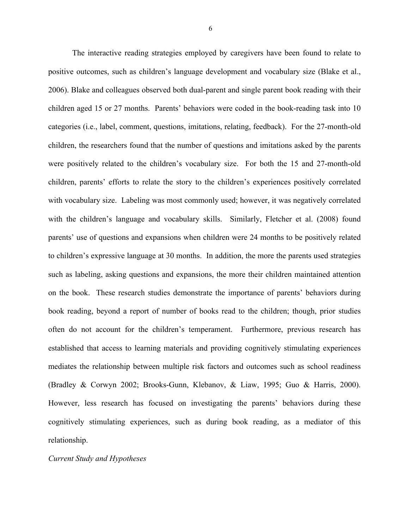The interactive reading strategies employed by caregivers have been found to relate to positive outcomes, such as children's language development and vocabulary size (Blake et al., 2006). Blake and colleagues observed both dual-parent and single parent book reading with their children aged 15 or 27 months. Parents' behaviors were coded in the book-reading task into 10 categories (i.e., label, comment, questions, imitations, relating, feedback). For the 27-month-old children, the researchers found that the number of questions and imitations asked by the parents were positively related to the children's vocabulary size. For both the 15 and 27-month-old children, parents' efforts to relate the story to the children's experiences positively correlated with vocabulary size. Labeling was most commonly used; however, it was negatively correlated with the children's language and vocabulary skills. Similarly, Fletcher et al. (2008) found parents' use of questions and expansions when children were 24 months to be positively related to children's expressive language at 30 months. In addition, the more the parents used strategies such as labeling, asking questions and expansions, the more their children maintained attention on the book. These research studies demonstrate the importance of parents' behaviors during book reading, beyond a report of number of books read to the children; though, prior studies often do not account for the children's temperament. Furthermore, previous research has established that access to learning materials and providing cognitively stimulating experiences mediates the relationship between multiple risk factors and outcomes such as school readiness (Bradley & Corwyn 2002; Brooks-Gunn, Klebanov, & Liaw, 1995; Guo & Harris, 2000). However, less research has focused on investigating the parents' behaviors during these cognitively stimulating experiences, such as during book reading, as a mediator of this relationship.

#### *Current Study and Hypotheses*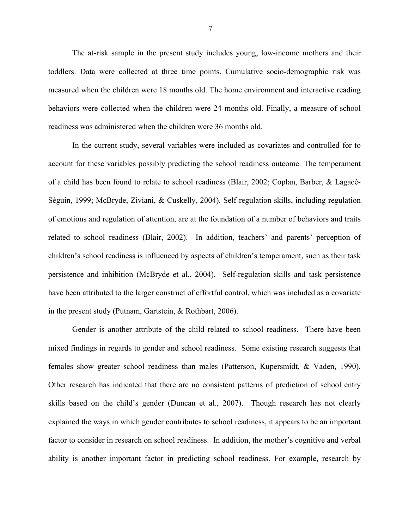The at-risk sample in the present study includes young, low-income mothers and their toddlers. Data were collected at three time points. Cumulative socio-demographic risk was measured when the children were 18 months old. The home environment and interactive reading behaviors were collected when the children were 24 months old. Finally, a measure of school readiness was administered when the children were 36 months old.

In the current study, several variables were included as covariates and controlled for to account for these variables possibly predicting the school readiness outcome. The temperament of a child has been found to relate to school readiness (Blair, 2002; Coplan, Barber, & Lagacé-Séguin, 1999; McBryde, Ziviani, & Cuskelly, 2004). Self-regulation skills, including regulation of emotions and regulation of attention, are at the foundation of a number of behaviors and traits related to school readiness (Blair, 2002). In addition, teachers' and parents' perception of children's school readiness is influenced by aspects of children's temperament, such as their task persistence and inhibition (McBryde et al., 2004). Self-regulation skills and task persistence have been attributed to the larger construct of effortful control, which was included as a covariate in the present study (Putnam, Gartstein, & Rothbart, 2006).

Gender is another attribute of the child related to school readiness. There have been mixed findings in regards to gender and school readiness. Some existing research suggests that females show greater school readiness than males (Patterson, Kupersmidt, & Vaden, 1990). Other research has indicated that there are no consistent patterns of prediction of school entry skills based on the child's gender (Duncan et al., 2007). Though research has not clearly explained the ways in which gender contributes to school readiness, it appears to be an important factor to consider in research on school readiness. In addition, the mother's cognitive and verbal ability is another important factor in predicting school readiness. For example, research by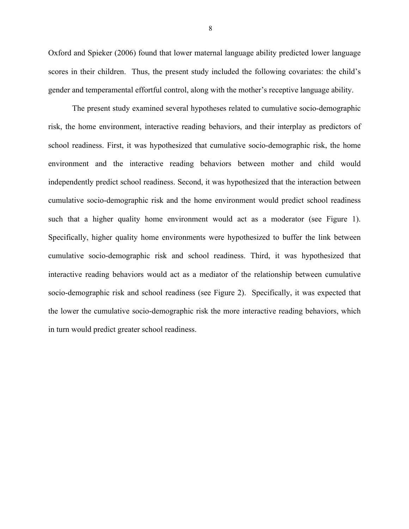Oxford and Spieker (2006) found that lower maternal language ability predicted lower language scores in their children. Thus, the present study included the following covariates: the child's gender and temperamental effortful control, along with the mother's receptive language ability.

The present study examined several hypotheses related to cumulative socio-demographic risk, the home environment, interactive reading behaviors, and their interplay as predictors of school readiness. First, it was hypothesized that cumulative socio-demographic risk, the home environment and the interactive reading behaviors between mother and child would independently predict school readiness. Second, it was hypothesized that the interaction between cumulative socio-demographic risk and the home environment would predict school readiness such that a higher quality home environment would act as a moderator (see Figure 1). Specifically, higher quality home environments were hypothesized to buffer the link between cumulative socio-demographic risk and school readiness. Third, it was hypothesized that interactive reading behaviors would act as a mediator of the relationship between cumulative socio-demographic risk and school readiness (see Figure 2). Specifically, it was expected that the lower the cumulative socio-demographic risk the more interactive reading behaviors, which in turn would predict greater school readiness.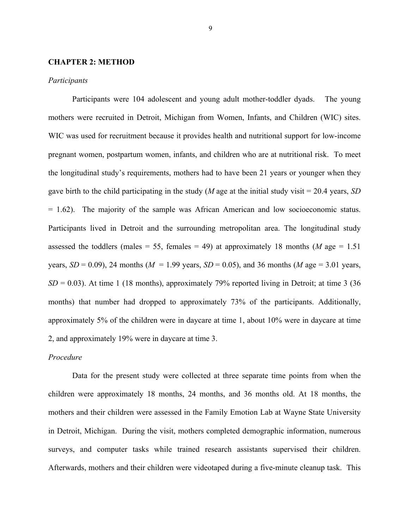#### **CHAPTER 2: METHOD**

#### *Participants*

Participants were 104 adolescent and young adult mother-toddler dyads. The young mothers were recruited in Detroit, Michigan from Women, Infants, and Children (WIC) sites. WIC was used for recruitment because it provides health and nutritional support for low-income pregnant women, postpartum women, infants, and children who are at nutritional risk. To meet the longitudinal study's requirements, mothers had to have been 21 years or younger when they gave birth to the child participating in the study (*M* age at the initial study visit = 20.4 years, *SD*  = 1.62). The majority of the sample was African American and low socioeconomic status. Participants lived in Detroit and the surrounding metropolitan area. The longitudinal study assessed the toddlers (males = 55, females = 49) at approximately 18 months (*M* age = 1.51 years,  $SD = 0.09$ ), 24 months ( $M = 1.99$  years,  $SD = 0.05$ ), and 36 months ( $M$  age = 3.01 years,  $SD = 0.03$ ). At time 1 (18 months), approximately 79% reported living in Detroit; at time 3 (36) months) that number had dropped to approximately 73% of the participants. Additionally, approximately 5% of the children were in daycare at time 1, about 10% were in daycare at time 2, and approximately 19% were in daycare at time 3.

#### *Procedure*

Data for the present study were collected at three separate time points from when the children were approximately 18 months, 24 months, and 36 months old. At 18 months, the mothers and their children were assessed in the Family Emotion Lab at Wayne State University in Detroit, Michigan. During the visit, mothers completed demographic information, numerous surveys, and computer tasks while trained research assistants supervised their children. Afterwards, mothers and their children were videotaped during a five-minute cleanup task. This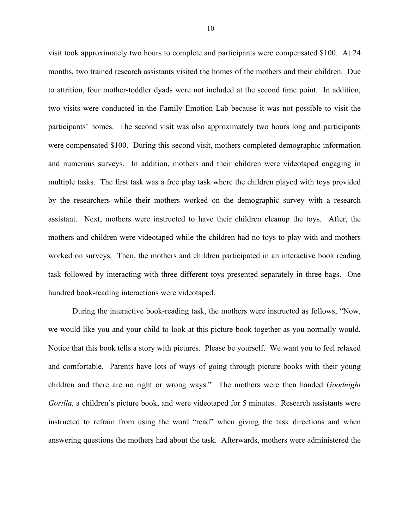visit took approximately two hours to complete and participants were compensated \$100. At 24 months, two trained research assistants visited the homes of the mothers and their children. Due to attrition, four mother-toddler dyads were not included at the second time point. In addition, two visits were conducted in the Family Emotion Lab because it was not possible to visit the participants' homes. The second visit was also approximately two hours long and participants were compensated \$100. During this second visit, mothers completed demographic information and numerous surveys. In addition, mothers and their children were videotaped engaging in multiple tasks. The first task was a free play task where the children played with toys provided by the researchers while their mothers worked on the demographic survey with a research assistant. Next, mothers were instructed to have their children cleanup the toys. After, the mothers and children were videotaped while the children had no toys to play with and mothers worked on surveys. Then, the mothers and children participated in an interactive book reading task followed by interacting with three different toys presented separately in three bags. One hundred book-reading interactions were videotaped.

During the interactive book-reading task, the mothers were instructed as follows, "Now, we would like you and your child to look at this picture book together as you normally would. Notice that this book tells a story with pictures. Please be yourself. We want you to feel relaxed and comfortable. Parents have lots of ways of going through picture books with their young children and there are no right or wrong ways." The mothers were then handed *Goodnight Gorilla*, a children's picture book, and were videotaped for 5 minutes. Research assistants were instructed to refrain from using the word "read" when giving the task directions and when answering questions the mothers had about the task. Afterwards, mothers were administered the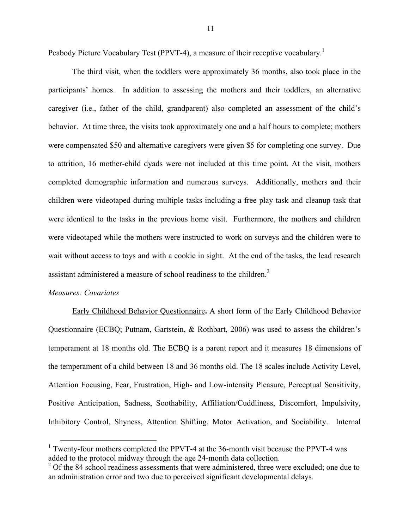Peabody Picture Vocabulary Test (PPVT-4), a measure of their receptive vocabulary.<sup>1</sup>

The third visit, when the toddlers were approximately 36 months, also took place in the participants' homes. In addition to assessing the mothers and their toddlers, an alternative caregiver (i.e., father of the child, grandparent) also completed an assessment of the child's behavior. At time three, the visits took approximately one and a half hours to complete; mothers were compensated \$50 and alternative caregivers were given \$5 for completing one survey. Due to attrition, 16 mother-child dyads were not included at this time point. At the visit, mothers completed demographic information and numerous surveys. Additionally, mothers and their children were videotaped during multiple tasks including a free play task and cleanup task that were identical to the tasks in the previous home visit. Furthermore, the mothers and children were videotaped while the mothers were instructed to work on surveys and the children were to wait without access to toys and with a cookie in sight. At the end of the tasks, the lead research assistant administered a measure of school readiness to the children. 2

#### *Measures: Covariates*

Early Childhood Behavior Questionnaire**.** A short form of the Early Childhood Behavior Questionnaire (ECBQ; Putnam, Gartstein, & Rothbart, 2006) was used to assess the children's temperament at 18 months old. The ECBQ is a parent report and it measures 18 dimensions of the temperament of a child between 18 and 36 months old. The 18 scales include Activity Level, Attention Focusing, Fear, Frustration, High- and Low-intensity Pleasure, Perceptual Sensitivity, Positive Anticipation, Sadness, Soothability, Affiliation/Cuddliness, Discomfort, Impulsivity, Inhibitory Control, Shyness, Attention Shifting, Motor Activation, and Sociability. Internal

<sup>&</sup>lt;sup>1</sup> Twenty-four mothers completed the PPVT-4 at the 36-month visit because the PPVT-4 was added to the protocol midway through the age 24-month data collection. <sup>2</sup>

 $2^{\circ}$  Of the 84 school readiness assessments that were administered, three were excluded; one due to an administration error and two due to perceived significant developmental delays.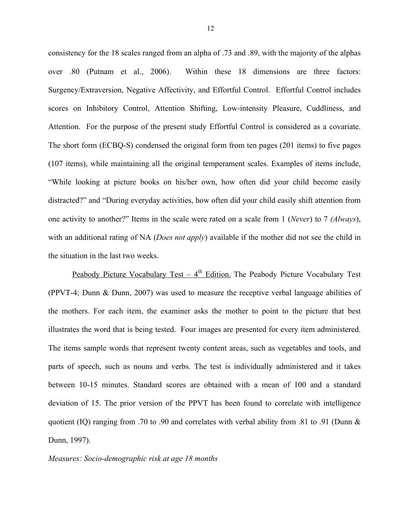consistency for the 18 scales ranged from an alpha of .73 and .89, with the majority of the alphas over .80 (Putnam et al., 2006). Within these 18 dimensions are three factors: Surgency/Extraversion, Negative Affectivity, and Effortful Control. Effortful Control includes scores on Inhibitory Control, Attention Shifting, Low-intensity Pleasure, Cuddliness, and Attention. For the purpose of the present study Effortful Control is considered as a covariate. The short form (ECBQ-S) condensed the original form from ten pages (201 items) to five pages (107 items), while maintaining all the original temperament scales. Examples of items include, "While looking at picture books on his/her own, how often did your child become easily distracted?" and "During everyday activities, how often did your child easily shift attention from one activity to another?" Items in the scale were rated on a scale from 1 (*Never*) to 7 *(Always*), with an additional rating of NA (*Does not apply*) available if the mother did not see the child in the situation in the last two weeks.

Peabody Picture Vocabulary Test –  $4<sup>th</sup>$  Edition. The Peabody Picture Vocabulary Test (PPVT-4; Dunn & Dunn, 2007) was used to measure the receptive verbal language abilities of the mothers. For each item, the examiner asks the mother to point to the picture that best illustrates the word that is being tested. Four images are presented for every item administered. The items sample words that represent twenty content areas, such as vegetables and tools, and parts of speech, such as nouns and verbs. The test is individually administered and it takes between 10-15 minutes. Standard scores are obtained with a mean of 100 and a standard deviation of 15. The prior version of the PPVT has been found to correlate with intelligence quotient (IQ) ranging from .70 to .90 and correlates with verbal ability from .81 to .91 (Dunn  $\&$ Dunn, 1997).

*Measures: Socio-demographic risk at age 18 months*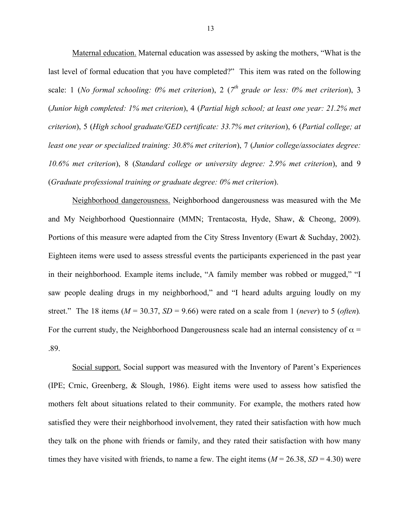Maternal education. Maternal education was assessed by asking the mothers, "What is the last level of formal education that you have completed?" This item was rated on the following scale: 1 (*No formal schooling: 0% met criterion*), 2 (*7th grade or less: 0% met criterion*), 3 (*Junior high completed: 1% met criterion*), 4 (*Partial high school; at least one year: 21.2% met criterion*), 5 (*High school graduate/GED certificate: 33.7% met criterion*), 6 (*Partial college; at least one year or specialized training: 30.8% met criterion*), 7 (*Junior college/associates degree: 10.6% met criterion*), 8 (*Standard college or university degree: 2.9% met criterion*), and 9 (*Graduate professional training or graduate degree: 0% met criterion*).

Neighborhood dangerousness. Neighborhood dangerousness was measured with the Me and My Neighborhood Questionnaire (MMN; Trentacosta, Hyde, Shaw, & Cheong, 2009). Portions of this measure were adapted from the City Stress Inventory (Ewart & Suchday, 2002). Eighteen items were used to assess stressful events the participants experienced in the past year in their neighborhood. Example items include, "A family member was robbed or mugged," "I saw people dealing drugs in my neighborhood," and "I heard adults arguing loudly on my street." The 18 items ( $M = 30.37$ ,  $SD = 9.66$ ) were rated on a scale from 1 (*never*) to 5 (*often*). For the current study, the Neighborhood Dangerousness scale had an internal consistency of  $\alpha$  = .89.

Social support. Social support was measured with the Inventory of Parent's Experiences (IPE; Crnic, Greenberg, & Slough, 1986). Eight items were used to assess how satisfied the mothers felt about situations related to their community. For example, the mothers rated how satisfied they were their neighborhood involvement, they rated their satisfaction with how much they talk on the phone with friends or family, and they rated their satisfaction with how many times they have visited with friends, to name a few. The eight items  $(M = 26.38, SD = 4.30)$  were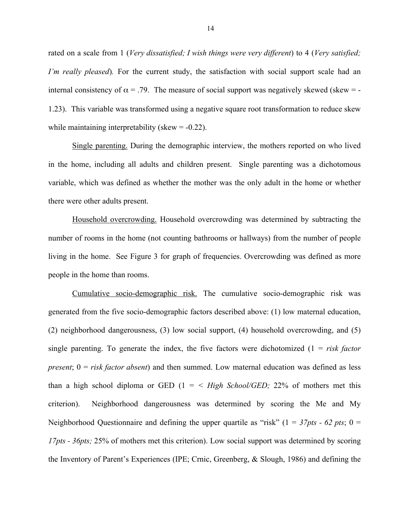rated on a scale from 1 (*Very dissatisfied; I wish things were very different*) to 4 (*Very satisfied; I'm really pleased*). For the current study, the satisfaction with social support scale had an internal consistency of  $\alpha = 0.79$ . The measure of social support was negatively skewed (skew = -1.23). This variable was transformed using a negative square root transformation to reduce skew while maintaining interpretability (skew  $= -0.22$ ).

Single parenting. During the demographic interview, the mothers reported on who lived in the home, including all adults and children present. Single parenting was a dichotomous variable, which was defined as whether the mother was the only adult in the home or whether there were other adults present.

Household overcrowding. Household overcrowding was determined by subtracting the number of rooms in the home (not counting bathrooms or hallways) from the number of people living in the home. See Figure 3 for graph of frequencies. Overcrowding was defined as more people in the home than rooms.

Cumulative socio-demographic risk. The cumulative socio-demographic risk was generated from the five socio-demographic factors described above: (1) low maternal education, (2) neighborhood dangerousness, (3) low social support, (4) household overcrowding, and (5) single parenting. To generate the index, the five factors were dichotomized  $(1 = risk factor)$ *present*;  $0 = risk factor absent$  and then summed. Low maternal education was defined as less than a high school diploma or GED  $(1 = \langle High School / GED; 22\% \text{ of mothers met this})$ criterion). Neighborhood dangerousness was determined by scoring the Me and My Neighborhood Questionnaire and defining the upper quartile as "risk" ( $1 = 37pts - 62 pts$ ;  $0 = 125$ *17pts - 36pts;* 25% of mothers met this criterion). Low social support was determined by scoring the Inventory of Parent's Experiences (IPE; Crnic, Greenberg, & Slough, 1986) and defining the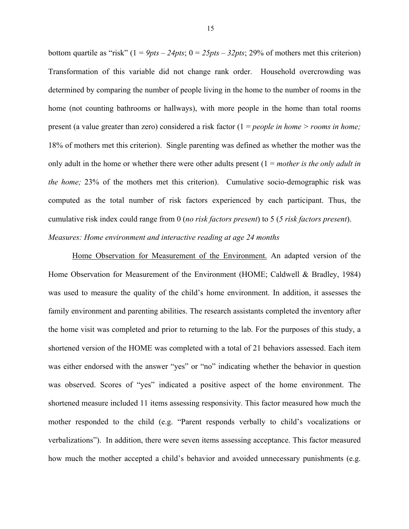bottom quartile as "risk"  $(1 = 9pts - 24pts; 0 = 25pts - 32pts; 29\%$  of mothers met this criterion) Transformation of this variable did not change rank order. Household overcrowding was determined by comparing the number of people living in the home to the number of rooms in the home (not counting bathrooms or hallways), with more people in the home than total rooms present (a value greater than zero) considered a risk factor (1 = *people in home > rooms in home;*  18% of mothers met this criterion). Single parenting was defined as whether the mother was the only adult in the home or whether there were other adults present (1 = *mother is the only adult in the home;* 23% of the mothers met this criterion). Cumulative socio-demographic risk was computed as the total number of risk factors experienced by each participant. Thus, the cumulative risk index could range from 0 (*no risk factors present*) to 5 (*5 risk factors present*). *Measures: Home environment and interactive reading at age 24 months*

Home Observation for Measurement of the Environment. An adapted version of the Home Observation for Measurement of the Environment (HOME; Caldwell & Bradley, 1984) was used to measure the quality of the child's home environment. In addition, it assesses the family environment and parenting abilities. The research assistants completed the inventory after the home visit was completed and prior to returning to the lab. For the purposes of this study, a shortened version of the HOME was completed with a total of 21 behaviors assessed. Each item was either endorsed with the answer "yes" or "no" indicating whether the behavior in question was observed. Scores of "yes" indicated a positive aspect of the home environment. The shortened measure included 11 items assessing responsivity. This factor measured how much the mother responded to the child (e.g. "Parent responds verbally to child's vocalizations or verbalizations"). In addition, there were seven items assessing acceptance. This factor measured how much the mother accepted a child's behavior and avoided unnecessary punishments (e.g.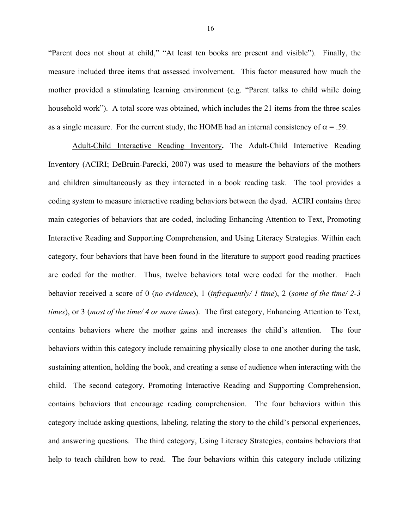"Parent does not shout at child," "At least ten books are present and visible"). Finally, the measure included three items that assessed involvement. This factor measured how much the mother provided a stimulating learning environment (e.g. "Parent talks to child while doing household work"). A total score was obtained, which includes the 21 items from the three scales as a single measure. For the current study, the HOME had an internal consistency of  $\alpha$  = .59.

Adult-Child Interactive Reading Inventory**.** The Adult-Child Interactive Reading Inventory (ACIRI; DeBruin-Parecki, 2007) was used to measure the behaviors of the mothers and children simultaneously as they interacted in a book reading task. The tool provides a coding system to measure interactive reading behaviors between the dyad. ACIRI contains three main categories of behaviors that are coded, including Enhancing Attention to Text, Promoting Interactive Reading and Supporting Comprehension, and Using Literacy Strategies. Within each category, four behaviors that have been found in the literature to support good reading practices are coded for the mother. Thus, twelve behaviors total were coded for the mother. Each behavior received a score of 0 (*no evidence*), 1 (*infrequently/ 1 time*), 2 (*some of the time/ 2-3 times*), or 3 (*most of the time/ 4 or more times*). The first category, Enhancing Attention to Text, contains behaviors where the mother gains and increases the child's attention. The four behaviors within this category include remaining physically close to one another during the task, sustaining attention, holding the book, and creating a sense of audience when interacting with the child. The second category, Promoting Interactive Reading and Supporting Comprehension, contains behaviors that encourage reading comprehension. The four behaviors within this category include asking questions, labeling, relating the story to the child's personal experiences, and answering questions. The third category, Using Literacy Strategies, contains behaviors that help to teach children how to read. The four behaviors within this category include utilizing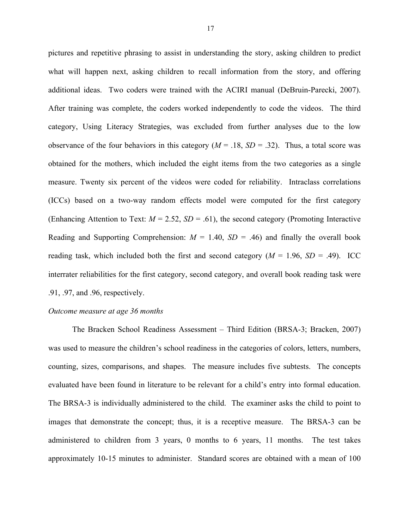pictures and repetitive phrasing to assist in understanding the story, asking children to predict what will happen next, asking children to recall information from the story, and offering additional ideas. Two coders were trained with the ACIRI manual (DeBruin-Parecki, 2007). After training was complete, the coders worked independently to code the videos. The third category, Using Literacy Strategies, was excluded from further analyses due to the low observance of the four behaviors in this category  $(M = .18, SD = .32)$ . Thus, a total score was obtained for the mothers, which included the eight items from the two categories as a single measure. Twenty six percent of the videos were coded for reliability. Intraclass correlations (ICCs) based on a two-way random effects model were computed for the first category (Enhancing Attention to Text:  $M = 2.52$ ,  $SD = .61$ ), the second category (Promoting Interactive Reading and Supporting Comprehension:  $M = 1.40$ ,  $SD = .46$ ) and finally the overall book reading task, which included both the first and second category  $(M = 1.96, SD = .49)$ . ICC interrater reliabilities for the first category, second category, and overall book reading task were .91, .97, and .96, respectively.

#### *Outcome measure at age 36 months*

The Bracken School Readiness Assessment – Third Edition (BRSA-3; Bracken, 2007) was used to measure the children's school readiness in the categories of colors, letters, numbers, counting, sizes, comparisons, and shapes. The measure includes five subtests. The concepts evaluated have been found in literature to be relevant for a child's entry into formal education. The BRSA-3 is individually administered to the child. The examiner asks the child to point to images that demonstrate the concept; thus, it is a receptive measure. The BRSA-3 can be administered to children from 3 years, 0 months to 6 years, 11 months. The test takes approximately 10-15 minutes to administer. Standard scores are obtained with a mean of 100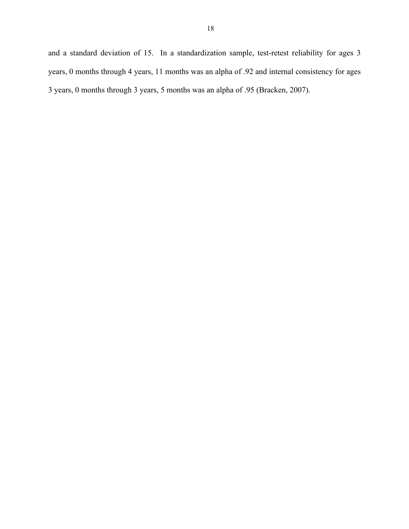and a standard deviation of 15. In a standardization sample, test-retest reliability for ages 3 years, 0 months through 4 years, 11 months was an alpha of .92 and internal consistency for ages 3 years, 0 months through 3 years, 5 months was an alpha of .95 (Bracken, 2007).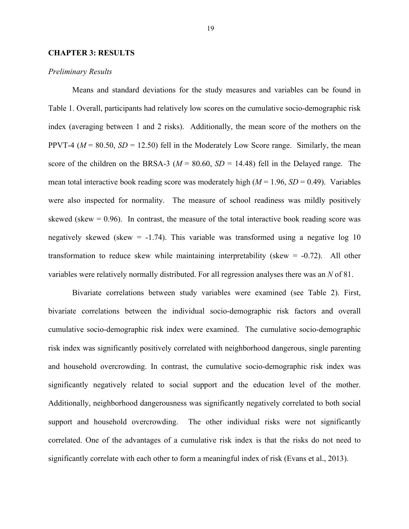#### **CHAPTER 3: RESULTS**

#### *Preliminary Results*

Means and standard deviations for the study measures and variables can be found in Table 1. Overall, participants had relatively low scores on the cumulative socio-demographic risk index (averaging between 1 and 2 risks). Additionally, the mean score of the mothers on the PPVT-4 ( $M = 80.50$ ,  $SD = 12.50$ ) fell in the Moderately Low Score range. Similarly, the mean score of the children on the BRSA-3 ( $M = 80.60$ ,  $SD = 14.48$ ) fell in the Delayed range. The mean total interactive book reading score was moderately high  $(M = 1.96, SD = 0.49)$ . Variables were also inspected for normality. The measure of school readiness was mildly positively skewed (skew  $= 0.96$ ). In contrast, the measure of the total interactive book reading score was negatively skewed (skew  $= -1.74$ ). This variable was transformed using a negative log 10 transformation to reduce skew while maintaining interpretability (skew = -0.72). All other variables were relatively normally distributed. For all regression analyses there was an *N* of 81.

Bivariate correlations between study variables were examined (see Table 2). First, bivariate correlations between the individual socio-demographic risk factors and overall cumulative socio-demographic risk index were examined. The cumulative socio-demographic risk index was significantly positively correlated with neighborhood dangerous, single parenting and household overcrowding. In contrast, the cumulative socio-demographic risk index was significantly negatively related to social support and the education level of the mother. Additionally, neighborhood dangerousness was significantly negatively correlated to both social support and household overcrowding. The other individual risks were not significantly correlated. One of the advantages of a cumulative risk index is that the risks do not need to significantly correlate with each other to form a meaningful index of risk (Evans et al., 2013).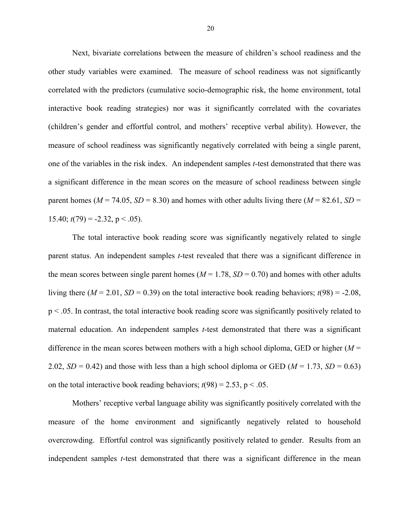Next, bivariate correlations between the measure of children's school readiness and the other study variables were examined. The measure of school readiness was not significantly correlated with the predictors (cumulative socio-demographic risk, the home environment, total interactive book reading strategies) nor was it significantly correlated with the covariates (children's gender and effortful control, and mothers' receptive verbal ability). However, the measure of school readiness was significantly negatively correlated with being a single parent, one of the variables in the risk index. An independent samples *t*-test demonstrated that there was a significant difference in the mean scores on the measure of school readiness between single parent homes ( $M = 74.05$ ,  $SD = 8.30$ ) and homes with other adults living there ( $M = 82.61$ ,  $SD =$ 15.40;  $t(79) = -2.32$ ,  $p < .05$ ).

The total interactive book reading score was significantly negatively related to single parent status. An independent samples *t*-test revealed that there was a significant difference in the mean scores between single parent homes ( $M = 1.78$ ,  $SD = 0.70$ ) and homes with other adults living there ( $M = 2.01$ ,  $SD = 0.39$ ) on the total interactive book reading behaviors;  $t(98) = -2.08$ , p < .05. In contrast, the total interactive book reading score was significantly positively related to maternal education. An independent samples *t*-test demonstrated that there was a significant difference in the mean scores between mothers with a high school diploma, GED or higher  $(M =$ 2.02,  $SD = 0.42$ ) and those with less than a high school diploma or GED ( $M = 1.73$ ,  $SD = 0.63$ ) on the total interactive book reading behaviors;  $t(98) = 2.53$ ,  $p < .05$ .

Mothers' receptive verbal language ability was significantly positively correlated with the measure of the home environment and significantly negatively related to household overcrowding. Effortful control was significantly positively related to gender. Results from an independent samples *t*-test demonstrated that there was a significant difference in the mean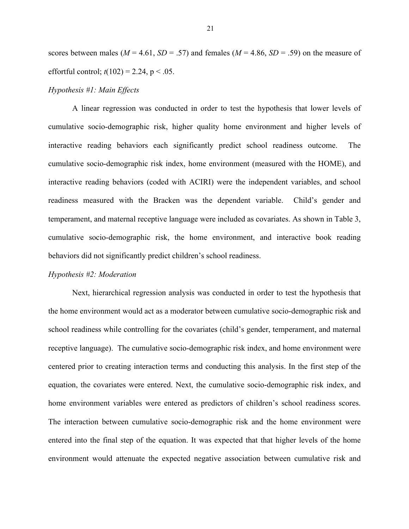scores between males ( $M = 4.61$ ,  $SD = .57$ ) and females ( $M = 4.86$ ,  $SD = .59$ ) on the measure of effortful control;  $t(102) = 2.24$ ,  $p < .05$ .

#### *Hypothesis #1: Main Effects*

A linear regression was conducted in order to test the hypothesis that lower levels of cumulative socio-demographic risk, higher quality home environment and higher levels of interactive reading behaviors each significantly predict school readiness outcome. The cumulative socio-demographic risk index, home environment (measured with the HOME), and interactive reading behaviors (coded with ACIRI) were the independent variables, and school readiness measured with the Bracken was the dependent variable. Child's gender and temperament, and maternal receptive language were included as covariates. As shown in Table 3, cumulative socio-demographic risk, the home environment, and interactive book reading behaviors did not significantly predict children's school readiness.

#### *Hypothesis #2: Moderation*

Next, hierarchical regression analysis was conducted in order to test the hypothesis that the home environment would act as a moderator between cumulative socio-demographic risk and school readiness while controlling for the covariates (child's gender, temperament, and maternal receptive language). The cumulative socio-demographic risk index, and home environment were centered prior to creating interaction terms and conducting this analysis. In the first step of the equation, the covariates were entered. Next, the cumulative socio-demographic risk index, and home environment variables were entered as predictors of children's school readiness scores. The interaction between cumulative socio-demographic risk and the home environment were entered into the final step of the equation. It was expected that that higher levels of the home environment would attenuate the expected negative association between cumulative risk and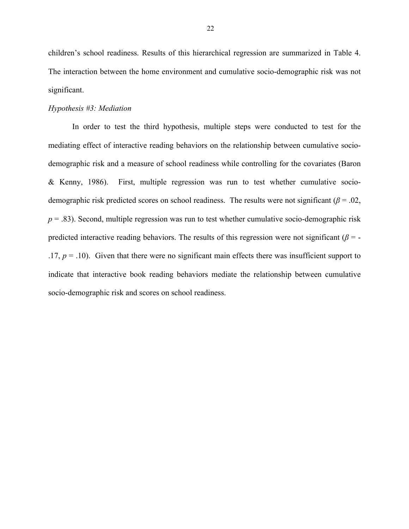children's school readiness. Results of this hierarchical regression are summarized in Table 4. The interaction between the home environment and cumulative socio-demographic risk was not significant.

#### *Hypothesis #3: Mediation*

In order to test the third hypothesis, multiple steps were conducted to test for the mediating effect of interactive reading behaviors on the relationship between cumulative sociodemographic risk and a measure of school readiness while controlling for the covariates (Baron & Kenny, 1986). First, multiple regression was run to test whether cumulative sociodemographic risk predicted scores on school readiness. The results were not significant ( $\beta$  = .02,  $p = 0.83$ ). Second, multiple regression was run to test whether cumulative socio-demographic risk predicted interactive reading behaviors. The results of this regression were not significant ( $\beta$  = -.17,  $p = 0.10$ . Given that there were no significant main effects there was insufficient support to indicate that interactive book reading behaviors mediate the relationship between cumulative socio-demographic risk and scores on school readiness.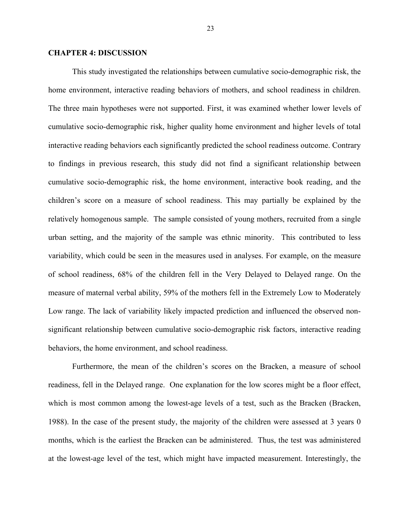#### **CHAPTER 4: DISCUSSION**

This study investigated the relationships between cumulative socio-demographic risk, the home environment, interactive reading behaviors of mothers, and school readiness in children. The three main hypotheses were not supported. First, it was examined whether lower levels of cumulative socio-demographic risk, higher quality home environment and higher levels of total interactive reading behaviors each significantly predicted the school readiness outcome. Contrary to findings in previous research, this study did not find a significant relationship between cumulative socio-demographic risk, the home environment, interactive book reading, and the children's score on a measure of school readiness. This may partially be explained by the relatively homogenous sample. The sample consisted of young mothers, recruited from a single urban setting, and the majority of the sample was ethnic minority. This contributed to less variability, which could be seen in the measures used in analyses. For example, on the measure of school readiness, 68% of the children fell in the Very Delayed to Delayed range. On the measure of maternal verbal ability, 59% of the mothers fell in the Extremely Low to Moderately Low range. The lack of variability likely impacted prediction and influenced the observed nonsignificant relationship between cumulative socio-demographic risk factors, interactive reading behaviors, the home environment, and school readiness.

Furthermore, the mean of the children's scores on the Bracken, a measure of school readiness, fell in the Delayed range. One explanation for the low scores might be a floor effect, which is most common among the lowest-age levels of a test, such as the Bracken (Bracken, 1988). In the case of the present study, the majority of the children were assessed at 3 years 0 months, which is the earliest the Bracken can be administered. Thus, the test was administered at the lowest-age level of the test, which might have impacted measurement. Interestingly, the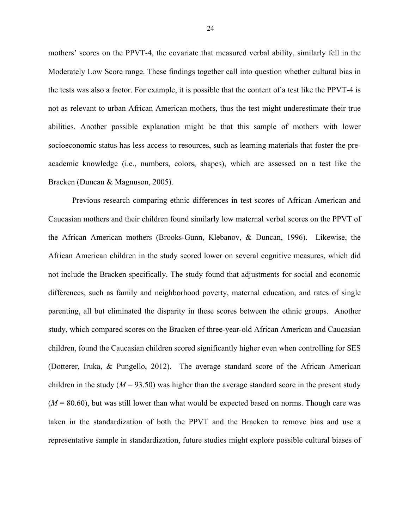mothers' scores on the PPVT-4, the covariate that measured verbal ability, similarly fell in the Moderately Low Score range. These findings together call into question whether cultural bias in the tests was also a factor. For example, it is possible that the content of a test like the PPVT-4 is not as relevant to urban African American mothers, thus the test might underestimate their true abilities. Another possible explanation might be that this sample of mothers with lower socioeconomic status has less access to resources, such as learning materials that foster the preacademic knowledge (i.e., numbers, colors, shapes), which are assessed on a test like the Bracken (Duncan & Magnuson, 2005).

Previous research comparing ethnic differences in test scores of African American and Caucasian mothers and their children found similarly low maternal verbal scores on the PPVT of the African American mothers (Brooks-Gunn, Klebanov, & Duncan, 1996). Likewise, the African American children in the study scored lower on several cognitive measures, which did not include the Bracken specifically. The study found that adjustments for social and economic differences, such as family and neighborhood poverty, maternal education, and rates of single parenting, all but eliminated the disparity in these scores between the ethnic groups. Another study, which compared scores on the Bracken of three-year-old African American and Caucasian children, found the Caucasian children scored significantly higher even when controlling for SES (Dotterer, Iruka, & Pungello, 2012). The average standard score of the African American children in the study ( $M = 93.50$ ) was higher than the average standard score in the present study  $(M = 80.60)$ , but was still lower than what would be expected based on norms. Though care was taken in the standardization of both the PPVT and the Bracken to remove bias and use a representative sample in standardization, future studies might explore possible cultural biases of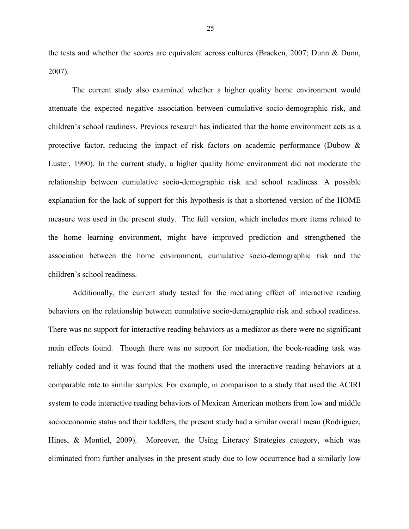the tests and whether the scores are equivalent across cultures (Bracken, 2007; Dunn & Dunn, 2007).

The current study also examined whether a higher quality home environment would attenuate the expected negative association between cumulative socio-demographic risk, and children's school readiness. Previous research has indicated that the home environment acts as a protective factor, reducing the impact of risk factors on academic performance (Dubow & Luster, 1990). In the current study, a higher quality home environment did not moderate the relationship between cumulative socio-demographic risk and school readiness. A possible explanation for the lack of support for this hypothesis is that a shortened version of the HOME measure was used in the present study. The full version, which includes more items related to the home learning environment, might have improved prediction and strengthened the association between the home environment, cumulative socio-demographic risk and the children's school readiness.

Additionally, the current study tested for the mediating effect of interactive reading behaviors on the relationship between cumulative socio-demographic risk and school readiness. There was no support for interactive reading behaviors as a mediator as there were no significant main effects found. Though there was no support for mediation, the book-reading task was reliably coded and it was found that the mothers used the interactive reading behaviors at a comparable rate to similar samples. For example, in comparison to a study that used the ACIRI system to code interactive reading behaviors of Mexican American mothers from low and middle socioeconomic status and their toddlers, the present study had a similar overall mean (Rodriguez, Hines, & Montiel, 2009). Moreover, the Using Literacy Strategies category, which was eliminated from further analyses in the present study due to low occurrence had a similarly low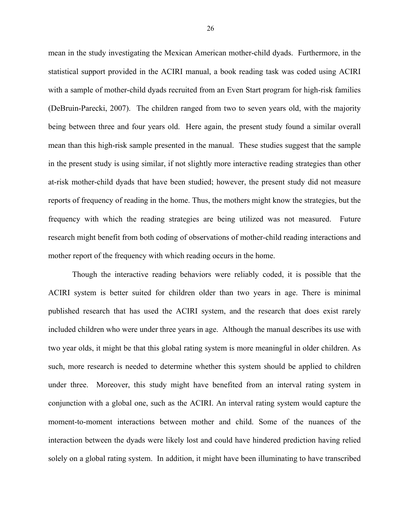mean in the study investigating the Mexican American mother-child dyads. Furthermore, in the statistical support provided in the ACIRI manual, a book reading task was coded using ACIRI with a sample of mother-child dyads recruited from an Even Start program for high-risk families (DeBruin-Parecki, 2007). The children ranged from two to seven years old, with the majority being between three and four years old. Here again, the present study found a similar overall mean than this high-risk sample presented in the manual. These studies suggest that the sample in the present study is using similar, if not slightly more interactive reading strategies than other at-risk mother-child dyads that have been studied; however, the present study did not measure reports of frequency of reading in the home. Thus, the mothers might know the strategies, but the frequency with which the reading strategies are being utilized was not measured. Future research might benefit from both coding of observations of mother-child reading interactions and mother report of the frequency with which reading occurs in the home.

Though the interactive reading behaviors were reliably coded, it is possible that the ACIRI system is better suited for children older than two years in age. There is minimal published research that has used the ACIRI system, and the research that does exist rarely included children who were under three years in age. Although the manual describes its use with two year olds, it might be that this global rating system is more meaningful in older children. As such, more research is needed to determine whether this system should be applied to children under three. Moreover, this study might have benefited from an interval rating system in conjunction with a global one, such as the ACIRI. An interval rating system would capture the moment-to-moment interactions between mother and child. Some of the nuances of the interaction between the dyads were likely lost and could have hindered prediction having relied solely on a global rating system. In addition, it might have been illuminating to have transcribed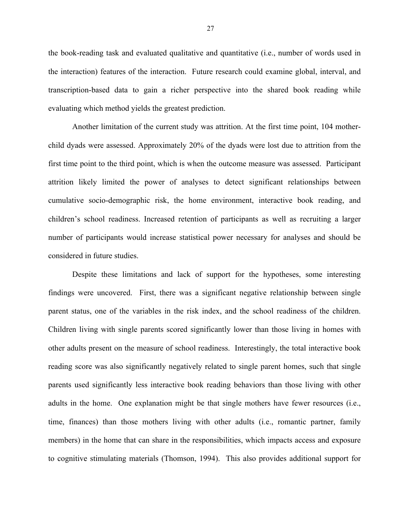the book-reading task and evaluated qualitative and quantitative (i.e., number of words used in the interaction) features of the interaction. Future research could examine global, interval, and transcription-based data to gain a richer perspective into the shared book reading while evaluating which method yields the greatest prediction.

Another limitation of the current study was attrition. At the first time point, 104 motherchild dyads were assessed. Approximately 20% of the dyads were lost due to attrition from the first time point to the third point, which is when the outcome measure was assessed. Participant attrition likely limited the power of analyses to detect significant relationships between cumulative socio-demographic risk, the home environment, interactive book reading, and children's school readiness. Increased retention of participants as well as recruiting a larger number of participants would increase statistical power necessary for analyses and should be considered in future studies.

Despite these limitations and lack of support for the hypotheses, some interesting findings were uncovered. First, there was a significant negative relationship between single parent status, one of the variables in the risk index, and the school readiness of the children. Children living with single parents scored significantly lower than those living in homes with other adults present on the measure of school readiness. Interestingly, the total interactive book reading score was also significantly negatively related to single parent homes, such that single parents used significantly less interactive book reading behaviors than those living with other adults in the home. One explanation might be that single mothers have fewer resources (i.e., time, finances) than those mothers living with other adults (i.e., romantic partner, family members) in the home that can share in the responsibilities, which impacts access and exposure to cognitive stimulating materials (Thomson, 1994). This also provides additional support for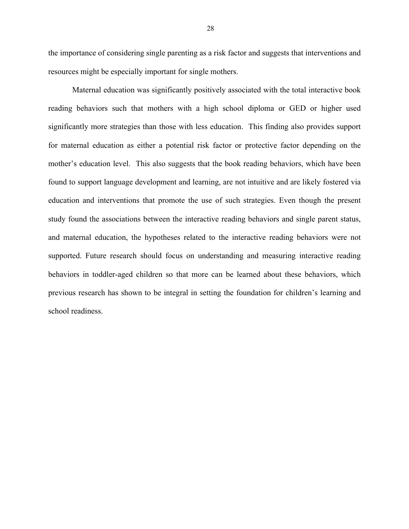the importance of considering single parenting as a risk factor and suggests that interventions and resources might be especially important for single mothers.

Maternal education was significantly positively associated with the total interactive book reading behaviors such that mothers with a high school diploma or GED or higher used significantly more strategies than those with less education. This finding also provides support for maternal education as either a potential risk factor or protective factor depending on the mother's education level. This also suggests that the book reading behaviors, which have been found to support language development and learning, are not intuitive and are likely fostered via education and interventions that promote the use of such strategies. Even though the present study found the associations between the interactive reading behaviors and single parent status, and maternal education, the hypotheses related to the interactive reading behaviors were not supported. Future research should focus on understanding and measuring interactive reading behaviors in toddler-aged children so that more can be learned about these behaviors, which previous research has shown to be integral in setting the foundation for children's learning and school readiness.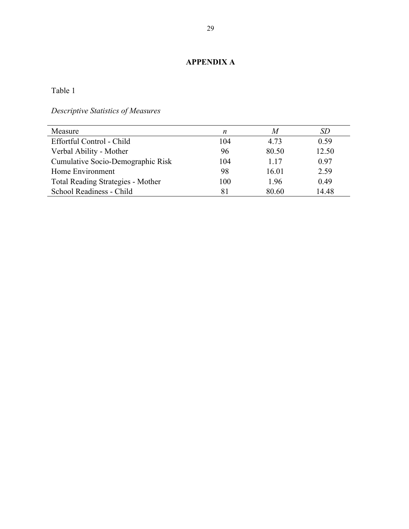### **APPENDIX A**

Table 1

*Descriptive Statistics of Measures*

| Measure                                  | n   | M     | SD    |
|------------------------------------------|-----|-------|-------|
| Effortful Control - Child                | 104 | 4.73  | 0.59  |
| Verbal Ability - Mother                  | 96  | 80.50 | 12.50 |
| Cumulative Socio-Demographic Risk        | 104 | 1.17  | 0.97  |
| Home Environment                         | 98  | 16.01 | 2.59  |
| <b>Total Reading Strategies - Mother</b> | 100 | 1.96  | 0.49  |
| School Readiness - Child                 | 81  | 80.60 | 14.48 |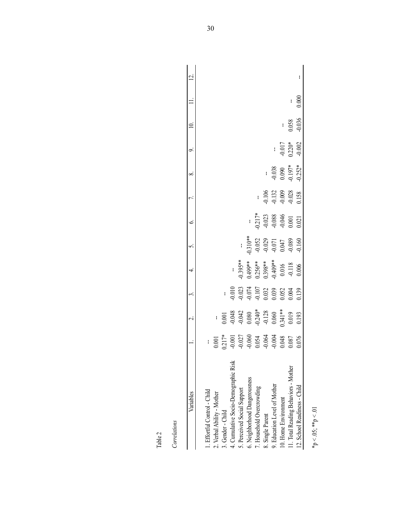| ń |  |
|---|--|
|   |  |
|   |  |

| c |
|---|
|   |
|   |
|   |
| ı |
|   |
|   |
|   |
|   |
|   |
|   |
|   |

| Table 2                              |                                                                                                                                                                                                                                                                                                                    |                                                                                                                                        |                                                                                                                                                                                                                                                                                                                                     |                                                                                      |                                                                                                       |                                                                             |                                                          |                                       |                                  |                   |       |    |
|--------------------------------------|--------------------------------------------------------------------------------------------------------------------------------------------------------------------------------------------------------------------------------------------------------------------------------------------------------------------|----------------------------------------------------------------------------------------------------------------------------------------|-------------------------------------------------------------------------------------------------------------------------------------------------------------------------------------------------------------------------------------------------------------------------------------------------------------------------------------|--------------------------------------------------------------------------------------|-------------------------------------------------------------------------------------------------------|-----------------------------------------------------------------------------|----------------------------------------------------------|---------------------------------------|----------------------------------|-------------------|-------|----|
| Correlations                         |                                                                                                                                                                                                                                                                                                                    |                                                                                                                                        |                                                                                                                                                                                                                                                                                                                                     |                                                                                      |                                                                                                       |                                                                             |                                                          |                                       |                                  |                   |       |    |
| Variables                            |                                                                                                                                                                                                                                                                                                                    | $\vec{\sim}$                                                                                                                           | 3.                                                                                                                                                                                                                                                                                                                                  | 4                                                                                    | 5.                                                                                                    | Ġ.                                                                          | 7.                                                       | ∞ं                                    | $\sigma$                         |                   |       | بہ |
| I. Effortful Control - Child         |                                                                                                                                                                                                                                                                                                                    |                                                                                                                                        |                                                                                                                                                                                                                                                                                                                                     |                                                                                      |                                                                                                       |                                                                             |                                                          |                                       |                                  |                   |       |    |
| 2. Verbal Ability - Mother           | $\begin{array}{r} 1.0011 \\ -0.0017 \\ -0.0017 \\ -0.00000 \\ -0.00000 \\ -0.00000 \\ -0.00000 \\ -0.00000 \\ -0.00000 \\ -0.00000 \\ -0.00000 \\ -0.00000 \\ -0.0000 \\ -0.0000 \\ -0.0000 \\ -0.0000 \\ -0.0000 \\ -0.0000 \\ -0.0000 \\ -0.0000 \\ -0.0000 \\ -0.0000 \\ -0.0000 \\ -0.0000 \\ -0.0000 \\ -0.0$ |                                                                                                                                        |                                                                                                                                                                                                                                                                                                                                     |                                                                                      |                                                                                                       |                                                                             |                                                          |                                       |                                  |                   |       |    |
| 3. Gender - Child                    |                                                                                                                                                                                                                                                                                                                    | $-0.001$<br>$-0.043$<br>$-0.042$<br>$-0.040*$<br>$-0.240*$<br>$-0.128$<br>$-0.128$<br>$-0.040*$<br>$-0.040*$<br>$-0.040*$<br>$-0.040*$ |                                                                                                                                                                                                                                                                                                                                     |                                                                                      |                                                                                                       |                                                                             |                                                          |                                       |                                  |                   |       |    |
| 4. Cumulative Socio-Demographic Risk |                                                                                                                                                                                                                                                                                                                    |                                                                                                                                        |                                                                                                                                                                                                                                                                                                                                     |                                                                                      |                                                                                                       |                                                                             |                                                          |                                       |                                  |                   |       |    |
| 5. Perceived Social Support          |                                                                                                                                                                                                                                                                                                                    |                                                                                                                                        |                                                                                                                                                                                                                                                                                                                                     |                                                                                      | $\mathbf{I}$                                                                                          |                                                                             |                                                          |                                       |                                  |                   |       |    |
| 6. Neighborhood Dangerousness        |                                                                                                                                                                                                                                                                                                                    |                                                                                                                                        |                                                                                                                                                                                                                                                                                                                                     |                                                                                      |                                                                                                       |                                                                             |                                                          |                                       |                                  |                   |       |    |
| 7. Household Overcrowding            |                                                                                                                                                                                                                                                                                                                    |                                                                                                                                        |                                                                                                                                                                                                                                                                                                                                     |                                                                                      |                                                                                                       |                                                                             |                                                          |                                       |                                  |                   |       |    |
| 8. Single Parent                     |                                                                                                                                                                                                                                                                                                                    |                                                                                                                                        |                                                                                                                                                                                                                                                                                                                                     |                                                                                      |                                                                                                       |                                                                             |                                                          |                                       |                                  |                   |       |    |
| 9. Education Level of Mother         |                                                                                                                                                                                                                                                                                                                    |                                                                                                                                        |                                                                                                                                                                                                                                                                                                                                     |                                                                                      |                                                                                                       |                                                                             |                                                          |                                       |                                  |                   |       |    |
| 10. Home Environment                 |                                                                                                                                                                                                                                                                                                                    |                                                                                                                                        |                                                                                                                                                                                                                                                                                                                                     |                                                                                      |                                                                                                       |                                                                             |                                                          |                                       |                                  |                   |       |    |
| 1. Total Reading Behaviors - Mother  |                                                                                                                                                                                                                                                                                                                    |                                                                                                                                        | $\begin{array}{r} \n 1.0100 \\  -0.0101 \\  -0.073 \\  -0.074 \\  -0.107 \\  0.032 \\  0.039 \\  0.052 \\  0.004 \\  0.004 \\  0.004 \\  0.004 \\  0.004 \\  0.004 \\  0.004 \\  0.004 \\  0.004 \\  0.004 \\  0.004 \\  0.004 \\  0.004 \\  0.004 \\  0.004 \\  0.004 \\  0.004 \\  0.004 \\  0.004 \\  0.004 \\  0.004 \\  0.004$ | $7.395**$<br>$0.395**$<br>$0.499**$<br>$0.256**$<br>$0.0409**$<br>$0.016$<br>$0.016$ | $\begin{array}{l} 0.310**\\ -0.052\\ -0.029\\ -0.071\\ 0.047\\ 0.047\\ -0.089\\ -0.160\\ \end{array}$ | $-1$<br>$-0.217$<br>$-0.023$<br>$-0.088$<br>$-0.046$<br>$-0.040$<br>$0.001$ | $-0.106$<br>$-0.132$<br>$-0.009$<br>$-0.028$<br>$-0.028$ | $-0.038$<br>0.090<br>0.197*<br>0.152* | $-0.017$<br>$-0.20*$<br>$-0.002$ | $\frac{1}{0.058}$ | I     |    |
| 12. School Readiness - Child         |                                                                                                                                                                                                                                                                                                                    |                                                                                                                                        |                                                                                                                                                                                                                                                                                                                                     |                                                                                      |                                                                                                       |                                                                             |                                                          |                                       |                                  |                   | 0.000 | ł  |
| $*_{p}$ < .05; $*_{p}$ < .01         |                                                                                                                                                                                                                                                                                                                    |                                                                                                                                        |                                                                                                                                                                                                                                                                                                                                     |                                                                                      |                                                                                                       |                                                                             |                                                          |                                       |                                  |                   |       |    |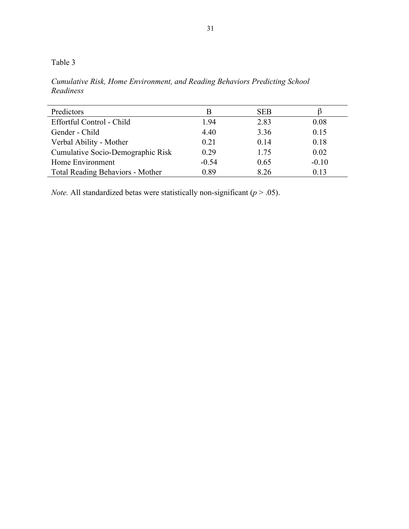Table 3

*Cumulative Risk, Home Environment, and Reading Behaviors Predicting School Readiness*

| Predictors                              |         | <b>SEB</b> |         |
|-----------------------------------------|---------|------------|---------|
| Effortful Control - Child               | 1.94    | 2.83       | 0.08    |
| Gender - Child                          | 4.40    | 3.36       | 0.15    |
| Verbal Ability - Mother                 | 0.21    | 0.14       | 0.18    |
| Cumulative Socio-Demographic Risk       | 0.29    | 1.75       | 0.02    |
| Home Environment                        | $-0.54$ | 0.65       | $-0.10$ |
| <b>Total Reading Behaviors - Mother</b> | 0.89    | 8.26       | 0.13    |

*Note.* All standardized betas were statistically non-significant ( $p > .05$ ).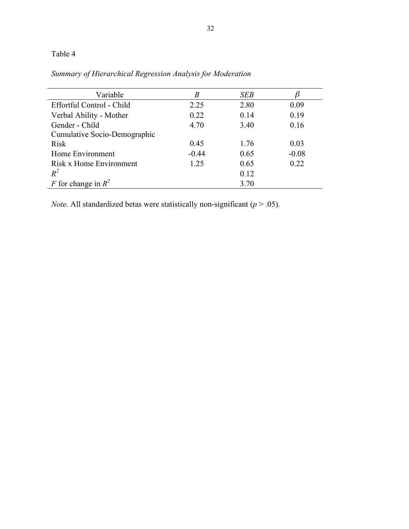# Table 4

| Variable                     | B       | <b>SEB</b> |         |
|------------------------------|---------|------------|---------|
| Effortful Control - Child    | 2.25    | 2.80       | 0.09    |
| Verbal Ability - Mother      | 0.22    | 0.14       | 0.19    |
| Gender - Child               | 4.70    | 3.40       | 0.16    |
| Cumulative Socio-Demographic |         |            |         |
| <b>Risk</b>                  | 0.45    | 1.76       | 0.03    |
| Home Environment             | $-0.44$ | 0.65       | $-0.08$ |
| Risk x Home Environment      | 1.25    | 0.65       | 0.22    |
| $R^2$                        |         | 0.12       |         |
| F for change in $R^2$        |         | 3.70       |         |

*Summary of Hierarchical Regression Analysis for Moderation*

*Note.* All standardized betas were statistically non-significant (*p* > .05).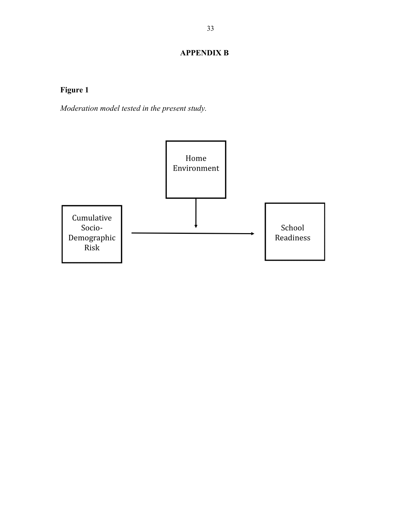## **APPENDIX B**

# **Figure 1**

*Moderation model tested in the present study.*

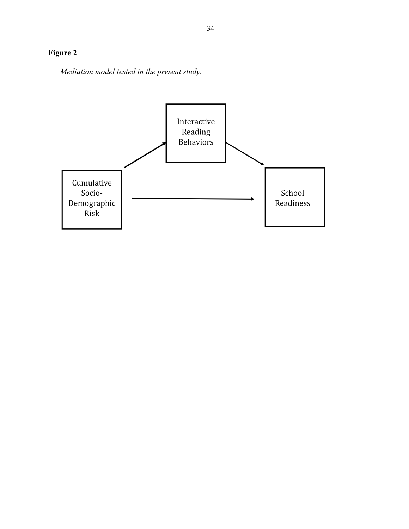# **Figure 2**

*Mediation model tested in the present study.*

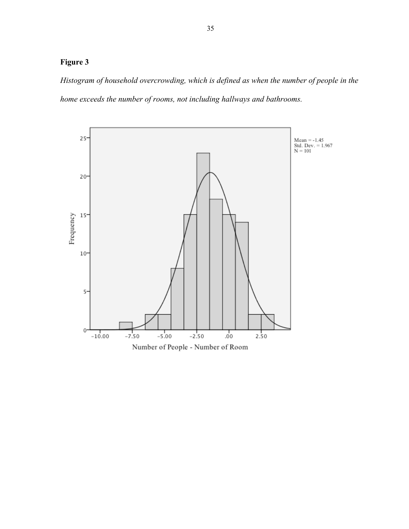### **Figure 3**

*Histogram of household overcrowding, which is defined as when the number of people in the home exceeds the number of rooms, not including hallways and bathrooms.*

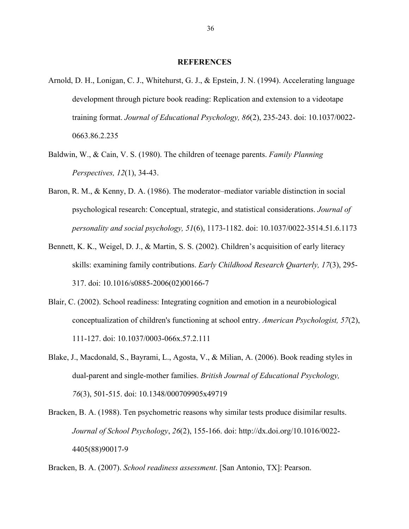#### **REFERENCES**

- Arnold, D. H., Lonigan, C. J., Whitehurst, G. J., & Epstein, J. N. (1994). Accelerating language development through picture book reading: Replication and extension to a videotape training format. *Journal of Educational Psychology, 86*(2), 235-243. doi: 10.1037/0022- 0663.86.2.235
- Baldwin, W., & Cain, V. S. (1980). The children of teenage parents. *Family Planning Perspectives, 12*(1), 34-43.
- Baron, R. M., & Kenny, D. A. (1986). The moderator–mediator variable distinction in social psychological research: Conceptual, strategic, and statistical considerations. *Journal of personality and social psychology, 51*(6), 1173-1182. doi: 10.1037/0022-3514.51.6.1173
- Bennett, K. K., Weigel, D. J., & Martin, S. S. (2002). Children's acquisition of early literacy skills: examining family contributions. *Early Childhood Research Quarterly, 17*(3), 295- 317. doi: 10.1016/s0885-2006(02)00166-7
- Blair, C. (2002). School readiness: Integrating cognition and emotion in a neurobiological conceptualization of children's functioning at school entry. *American Psychologist, 57*(2), 111-127. doi: 10.1037/0003-066x.57.2.111
- Blake, J., Macdonald, S., Bayrami, L., Agosta, V., & Milian, A. (2006). Book reading styles in dual-parent and single-mother families. *British Journal of Educational Psychology, 76*(3), 501-515. doi: 10.1348/000709905x49719
- Bracken, B. A. (1988). Ten psychometric reasons why similar tests produce disimilar results. *Journal of School Psychology*, *26*(2), 155-166. doi: http://dx.doi.org/10.1016/0022- 4405(88)90017-9

Bracken, B. A. (2007). *School readiness assessment*. [San Antonio, TX]: Pearson.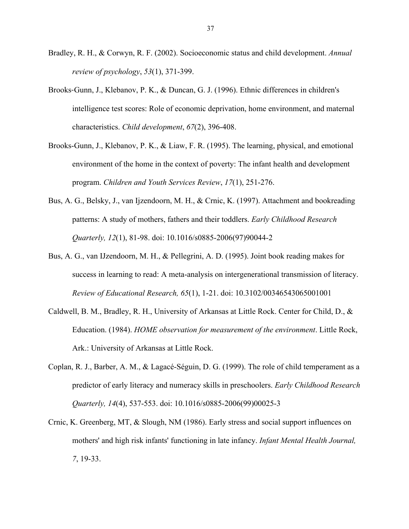- Bradley, R. H., & Corwyn, R. F. (2002). Socioeconomic status and child development. *Annual review of psychology*, *53*(1), 371-399.
- Brooks‐Gunn, J., Klebanov, P. K., & Duncan, G. J. (1996). Ethnic differences in children's intelligence test scores: Role of economic deprivation, home environment, and maternal characteristics. *Child development*, *67*(2), 396-408.
- Brooks-Gunn, J., Klebanov, P. K., & Liaw, F. R. (1995). The learning, physical, and emotional environment of the home in the context of poverty: The infant health and development program. *Children and Youth Services Review*, *17*(1), 251-276.
- Bus, A. G., Belsky, J., van Ijzendoorn, M. H., & Crnic, K. (1997). Attachment and bookreading patterns: A study of mothers, fathers and their toddlers. *Early Childhood Research Quarterly, 12*(1), 81-98. doi: 10.1016/s0885-2006(97)90044-2
- Bus, A. G., van IJzendoorn, M. H., & Pellegrini, A. D. (1995). Joint book reading makes for success in learning to read: A meta-analysis on intergenerational transmission of literacy. *Review of Educational Research, 65*(1), 1-21. doi: 10.3102/00346543065001001
- Caldwell, B. M., Bradley, R. H., University of Arkansas at Little Rock. Center for Child, D., & Education. (1984). *HOME observation for measurement of the environment*. Little Rock, Ark.: University of Arkansas at Little Rock.
- Coplan, R. J., Barber, A. M., & Lagacé-Séguin, D. G. (1999). The role of child temperament as a predictor of early literacy and numeracy skills in preschoolers. *Early Childhood Research Quarterly, 14*(4), 537-553. doi: 10.1016/s0885-2006(99)00025-3
- Crnic, K. Greenberg, MT, & Slough, NM (1986). Early stress and social support influences on mothers' and high risk infants' functioning in late infancy. *Infant Mental Health Journal, 7*, 19-33.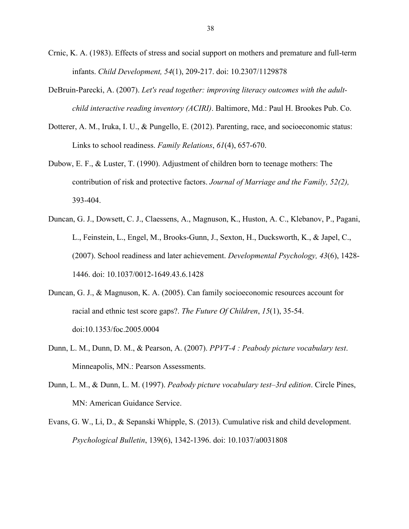- Crnic, K. A. (1983). Effects of stress and social support on mothers and premature and full-term infants. *Child Development, 54*(1), 209-217. doi: 10.2307/1129878
- DeBruin-Parecki, A. (2007). *Let's read together: improving literacy outcomes with the adultchild interactive reading inventory (ACIRI)*. Baltimore, Md.: Paul H. Brookes Pub. Co.
- Dotterer, A. M., Iruka, I. U., & Pungello, E. (2012). Parenting, race, and socioeconomic status: Links to school readiness. *Family Relations*, *61*(4), 657-670.
- Dubow, E. F., & Luster, T. (1990). Adjustment of children born to teenage mothers: The contribution of risk and protective factors. *Journal of Marriage and the Family, 52(2),* 393-404.
- Duncan, G. J., Dowsett, C. J., Claessens, A., Magnuson, K., Huston, A. C., Klebanov, P., Pagani, L., Feinstein, L., Engel, M., Brooks-Gunn, J., Sexton, H., Ducksworth, K., & Japel, C., (2007). School readiness and later achievement. *Developmental Psychology, 43*(6), 1428- 1446. doi: 10.1037/0012-1649.43.6.1428
- Duncan, G. J., & Magnuson, K. A. (2005). Can family socioeconomic resources account for racial and ethnic test score gaps?. *The Future Of Children*, *15*(1), 35-54. doi:10.1353/foc.2005.0004
- Dunn, L. M., Dunn, D. M., & Pearson, A. (2007). *PPVT-4 : Peabody picture vocabulary test*. Minneapolis, MN.: Pearson Assessments.
- Dunn, L. M., & Dunn, L. M. (1997). *Peabody picture vocabulary test–3rd edition*. Circle Pines, MN: American Guidance Service.
- Evans, G. W., Li, D., & Sepanski Whipple, S. (2013). Cumulative risk and child development. *Psychological Bulletin*, 139(6), 1342-1396. doi: 10.1037/a0031808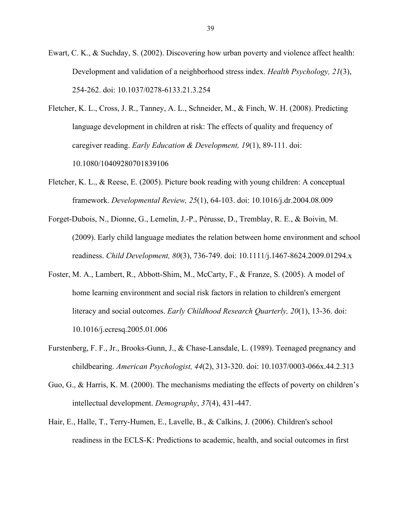- Ewart, C. K., & Suchday, S. (2002). Discovering how urban poverty and violence affect health: Development and validation of a neighborhood stress index. *Health Psychology, 21*(3), 254-262. doi: 10.1037/0278-6133.21.3.254
- Fletcher, K. L., Cross, J. R., Tanney, A. L., Schneider, M., & Finch, W. H. (2008). Predicting language development in children at risk: The effects of quality and frequency of caregiver reading. *Early Education & Development, 19*(1), 89-111. doi: 10.1080/10409280701839106
- Fletcher, K. L., & Reese, E. (2005). Picture book reading with young children: A conceptual framework. *Developmental Review, 25*(1), 64-103. doi: 10.1016/j.dr.2004.08.009
- Forget-Dubois, N., Dionne, G., Lemelin, J.-P., Pérusse, D., Tremblay, R. E., & Boivin, M. (2009). Early child language mediates the relation between home environment and school readiness. *Child Development, 80*(3), 736-749. doi: 10.1111/j.1467-8624.2009.01294.x
- Foster, M. A., Lambert, R., Abbott-Shim, M., McCarty, F., & Franze, S. (2005). A model of home learning environment and social risk factors in relation to children's emergent literacy and social outcomes. *Early Childhood Research Quarterly, 20*(1), 13-36. doi: 10.1016/j.ecresq.2005.01.006
- Furstenberg, F. F., Jr., Brooks-Gunn, J., & Chase-Lansdale, L. (1989). Teenaged pregnancy and childbearing. *American Psychologist, 44*(2), 313-320. doi: 10.1037/0003-066x.44.2.313
- Guo, G., & Harris, K. M. (2000). The mechanisms mediating the effects of poverty on children's intellectual development. *Demography*, *37*(4), 431-447.
- Hair, E., Halle, T., Terry-Humen, E., Lavelle, B., & Calkins, J. (2006). Children's school readiness in the ECLS-K: Predictions to academic, health, and social outcomes in first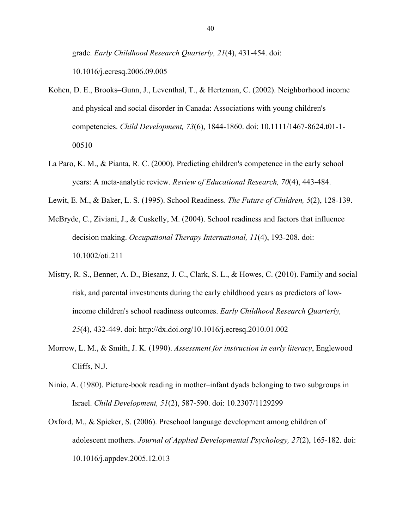grade. *Early Childhood Research Quarterly, 21*(4), 431-454. doi: 10.1016/j.ecresq.2006.09.005

- Kohen, D. E., Brooks–Gunn, J., Leventhal, T., & Hertzman, C. (2002). Neighborhood income and physical and social disorder in Canada: Associations with young children's competencies. *Child Development, 73*(6), 1844-1860. doi: 10.1111/1467-8624.t01-1- 00510
- La Paro, K. M., & Pianta, R. C. (2000). Predicting children's competence in the early school years: A meta-analytic review. *Review of Educational Research, 70*(4), 443-484.
- Lewit, E. M., & Baker, L. S. (1995). School Readiness. *The Future of Children, 5*(2), 128-139.
- McBryde, C., Ziviani, J., & Cuskelly, M. (2004). School readiness and factors that influence decision making. *Occupational Therapy International, 11*(4), 193-208. doi: 10.1002/oti.211
- Mistry, R. S., Benner, A. D., Biesanz, J. C., Clark, S. L., & Howes, C. (2010). Family and social risk, and parental investments during the early childhood years as predictors of lowincome children's school readiness outcomes. *Early Childhood Research Quarterly, 25*(4), 432-449. doi: http://dx.doi.org/10.1016/j.ecresq.2010.01.002
- Morrow, L. M., & Smith, J. K. (1990). *Assessment for instruction in early literacy*, Englewood Cliffs, N.J.
- Ninio, A. (1980). Picture-book reading in mother–infant dyads belonging to two subgroups in Israel. *Child Development, 51*(2), 587-590. doi: 10.2307/1129299
- Oxford, M., & Spieker, S. (2006). Preschool language development among children of adolescent mothers. *Journal of Applied Developmental Psychology, 27*(2), 165-182. doi: 10.1016/j.appdev.2005.12.013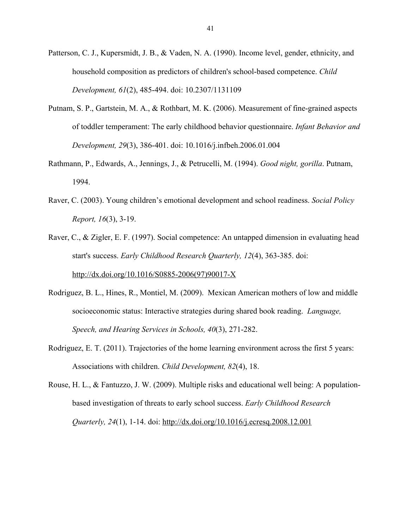- Patterson, C. J., Kupersmidt, J. B., & Vaden, N. A. (1990). Income level, gender, ethnicity, and household composition as predictors of children's school-based competence. *Child Development, 61*(2), 485-494. doi: 10.2307/1131109
- Putnam, S. P., Gartstein, M. A., & Rothbart, M. K. (2006). Measurement of fine-grained aspects of toddler temperament: The early childhood behavior questionnaire. *Infant Behavior and Development, 29*(3), 386-401. doi: 10.1016/j.infbeh.2006.01.004
- Rathmann, P., Edwards, A., Jennings, J., & Petrucelli, M. (1994). *Good night, gorilla*. Putnam, 1994.
- Raver, C. (2003). Young children's emotional development and school readiness. *Social Policy Report, 16*(3), 3-19.
- Raver, C., & Zigler, E. F. (1997). Social competence: An untapped dimension in evaluating head start's success. *Early Childhood Research Quarterly, 12*(4), 363-385. doi: http://dx.doi.org/10.1016/S0885-2006(97)90017-X
- Rodriguez, B. L., Hines, R., Montiel, M. (2009). Mexican American mothers of low and middle socioeconomic status: Interactive strategies during shared book reading. *Language, Speech, and Hearing Services in Schools, 40*(3), 271-282.
- Rodriguez, E. T. (2011). Trajectories of the home learning environment across the first 5 years: Associations with children. *Child Development, 82*(4), 18.
- Rouse, H. L., & Fantuzzo, J. W. (2009). Multiple risks and educational well being: A populationbased investigation of threats to early school success. *Early Childhood Research Quarterly, 24*(1), 1-14. doi: http://dx.doi.org/10.1016/j.ecresq.2008.12.001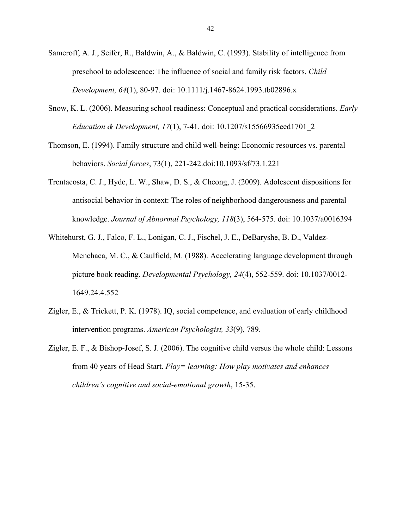- Sameroff, A. J., Seifer, R., Baldwin, A., & Baldwin, C. (1993). Stability of intelligence from preschool to adolescence: The influence of social and family risk factors. *Child Development, 64*(1), 80-97. doi: 10.1111/j.1467-8624.1993.tb02896.x
- Snow, K. L. (2006). Measuring school readiness: Conceptual and practical considerations. *Early Education & Development, 17*(1), 7-41. doi: 10.1207/s15566935eed1701\_2
- Thomson, E. (1994). Family structure and child well-being: Economic resources vs. parental behaviors. *Social forces*, 73(1), 221-242.doi:10.1093/sf/73.1.221
- Trentacosta, C. J., Hyde, L. W., Shaw, D. S., & Cheong, J. (2009). Adolescent dispositions for antisocial behavior in context: The roles of neighborhood dangerousness and parental knowledge. *Journal of Abnormal Psychology, 118*(3), 564-575. doi: 10.1037/a0016394
- Whitehurst, G. J., Falco, F. L., Lonigan, C. J., Fischel, J. E., DeBaryshe, B. D., Valdez-Menchaca, M. C., & Caulfield, M. (1988). Accelerating language development through picture book reading. *Developmental Psychology, 24*(4), 552-559. doi: 10.1037/0012- 1649.24.4.552
- Zigler, E., & Trickett, P. K. (1978). IQ, social competence, and evaluation of early childhood intervention programs. *American Psychologist, 33*(9), 789.
- Zigler, E. F., & Bishop-Josef, S. J. (2006). The cognitive child versus the whole child: Lessons from 40 years of Head Start. *Play= learning: How play motivates and enhances children's cognitive and social-emotional growth*, 15-35.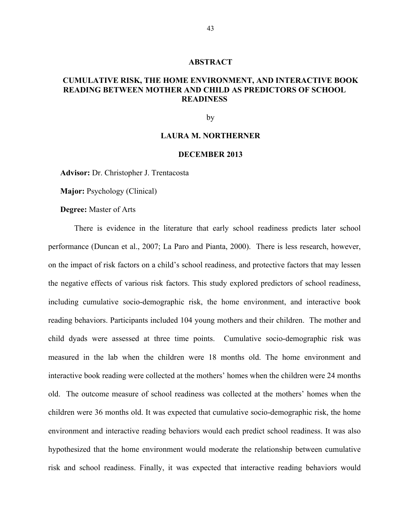#### **ABSTRACT**

### **CUMULATIVE RISK, THE HOME ENVIRONMENT, AND INTERACTIVE BOOK READING BETWEEN MOTHER AND CHILD AS PREDICTORS OF SCHOOL READINESS**

by

#### **LAURA M. NORTHERNER**

#### **DECEMBER 2013**

**Advisor:** Dr. Christopher J. Trentacosta

**Major:** Psychology (Clinical)

**Degree:** Master of Arts

There is evidence in the literature that early school readiness predicts later school performance (Duncan et al., 2007; La Paro and Pianta, 2000). There is less research, however, on the impact of risk factors on a child's school readiness, and protective factors that may lessen the negative effects of various risk factors. This study explored predictors of school readiness, including cumulative socio-demographic risk, the home environment, and interactive book reading behaviors. Participants included 104 young mothers and their children. The mother and child dyads were assessed at three time points. Cumulative socio-demographic risk was measured in the lab when the children were 18 months old. The home environment and interactive book reading were collected at the mothers' homes when the children were 24 months old. The outcome measure of school readiness was collected at the mothers' homes when the children were 36 months old. It was expected that cumulative socio-demographic risk, the home environment and interactive reading behaviors would each predict school readiness. It was also hypothesized that the home environment would moderate the relationship between cumulative risk and school readiness. Finally, it was expected that interactive reading behaviors would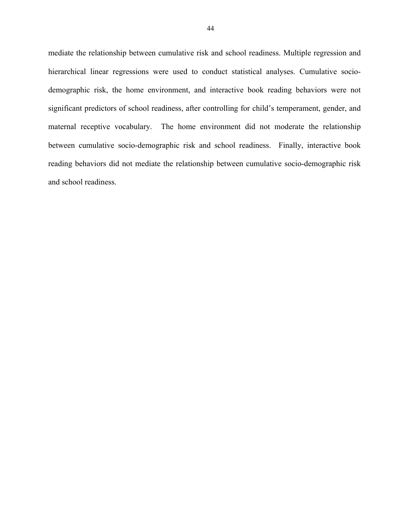mediate the relationship between cumulative risk and school readiness. Multiple regression and hierarchical linear regressions were used to conduct statistical analyses. Cumulative sociodemographic risk, the home environment, and interactive book reading behaviors were not significant predictors of school readiness, after controlling for child's temperament, gender, and maternal receptive vocabulary. The home environment did not moderate the relationship between cumulative socio-demographic risk and school readiness. Finally, interactive book reading behaviors did not mediate the relationship between cumulative socio-demographic risk and school readiness.